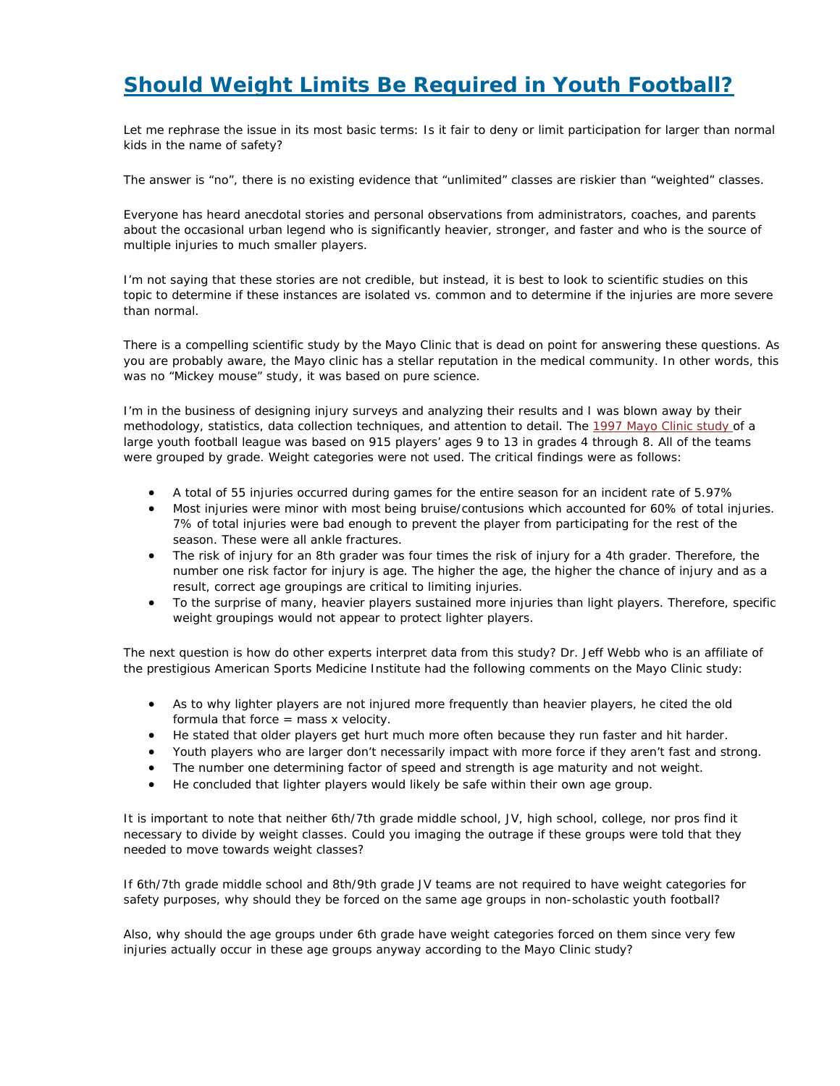## *Should Weight Limits Be Required in Youth Football?*

Let me rephrase the issue in its most basic terms: Is it fair to deny or limit participation for larger than normal kids in the name of safety?

The answer is "no", there is no existing evidence that "unlimited" classes are riskier than "weighted" classes.

Everyone has heard anecdotal stories and personal observations from administrators, coaches, and parents about the occasional urban legend who is significantly heavier, stronger, and faster and who is the source of multiple injuries to much smaller players.

I'm not saying that these stories are not credible, but instead, it is best to look to scientific studies on this topic to determine if these instances are isolated vs. common and to determine if the injuries are more severe than normal.

There is a compelling scientific study by the Mayo Clinic that is dead on point for answering these questions. As you are probably aware, the Mayo clinic has a stellar reputation in the medical community. In other words, this was no "Mickey mouse" study, it was based on pure science.

I'm in the business of designing injury surveys and analyzing their results and I was blown away by their methodology, statistics, data collection techniques, and attention to detail. The 1997 Mayo Clinic study of a large youth football league was based on 915 players' ages 9 to 13 in grades 4 through 8. All of the teams were grouped by grade. Weight categories were not used. The critical findings were as follows:

- A total of 55 injuries occurred during games for the entire season for an incident rate of 5.97%
- Most injuries were minor with most being bruise/contusions which accounted for 60% of total injuries. 7% of total injuries were bad enough to prevent the player from participating for the rest of the season. These were all ankle fractures.
- The risk of injury for an 8th grader was four times the risk of injury for a 4th grader. Therefore, the number one risk factor for injury is age. The higher the age, the higher the chance of injury and as a result, correct age groupings are critical to limiting injuries.
- To the surprise of many, heavier players sustained more injuries than light players. Therefore, specific weight groupings would not appear to protect lighter players.

The next question is how do other experts interpret data from this study? Dr. Jeff Webb who is an affiliate of the prestigious American Sports Medicine Institute had the following comments on the Mayo Clinic study:

- As to why lighter players are not injured more frequently than heavier players, he cited the old formula that force  $=$  mass x velocity.
- He stated that older players get hurt much more often because they run faster and hit harder.
- Youth players who are larger don't necessarily impact with more force if they aren't fast and strong.
- The number one determining factor of speed and strength is age maturity and not weight.
- He concluded that lighter players would likely be safe within their own age group.

It is important to note that neither 6th/7th grade middle school, JV, high school, college, nor pros find it necessary to divide by weight classes. Could you imaging the outrage if these groups were told that they needed to move towards weight classes?

If 6th/7th grade middle school and 8th/9th grade JV teams are not required to have weight categories for safety purposes, why should they be forced on the same age groups in non-scholastic youth football?

Also, why should the age groups under 6th grade have weight categories forced on them since very few injuries actually occur in these age groups anyway according to the Mayo Clinic study?